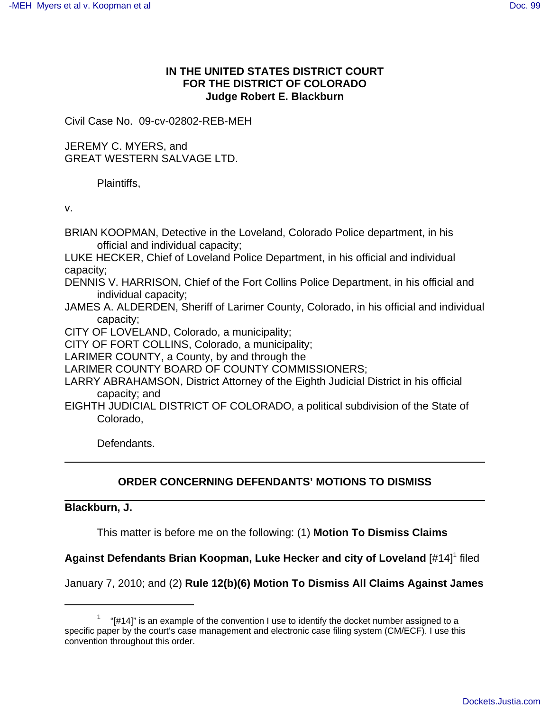# **IN THE UNITED STATES DISTRICT COURT FOR THE DISTRICT OF COLORADO Judge Robert E. Blackburn**

Civil Case No. 09-cv-02802-REB-MEH

JEREMY C. MYERS, and GREAT WESTERN SALVAGE LTD.

Plaintiffs,

v.

- BRIAN KOOPMAN, Detective in the Loveland, Colorado Police department, in his official and individual capacity;
- LUKE HECKER, Chief of Loveland Police Department, in his official and individual capacity;
- DENNIS V. HARRISON, Chief of the Fort Collins Police Department, in his official and individual capacity;
- JAMES A. ALDERDEN, Sheriff of Larimer County, Colorado, in his official and individual capacity;
- CITY OF LOVELAND, Colorado, a municipality;

CITY OF FORT COLLINS, Colorado, a municipality;

LARIMER COUNTY, a County, by and through the

LARIMER COUNTY BOARD OF COUNTY COMMISSIONERS;

LARRY ABRAHAMSON, District Attorney of the Eighth Judicial District in his official capacity; and

EIGHTH JUDICIAL DISTRICT OF COLORADO, a political subdivision of the State of Colorado,

Defendants.

## **ORDER CONCERNING DEFENDANTS' MOTIONS TO DISMISS**

**Blackburn, J.** 

This matter is before me on the following: (1) **Motion To Dismiss Claims**

Against Defendants Brian Koopman, Luke Hecker and city of Loveland [#14]<sup>1</sup> filed

January 7, 2010; and (2) **Rule 12(b)(6) Motion To Dismiss All Claims Against James**

 $1$  "[#14]" is an example of the convention I use to identify the docket number assigned to a specific paper by the court's case management and electronic case filing system (CM/ECF). I use this convention throughout this order.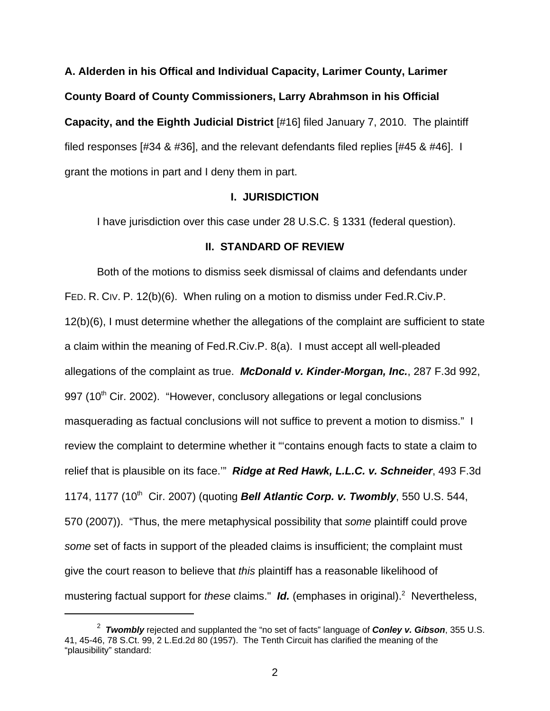**A. Alderden in his Offical and Individual Capacity, Larimer County, Larimer County Board of County Commissioners, Larry Abrahmson in his Official Capacity, and the Eighth Judicial District** [#16] filed January 7, 2010. The plaintiff filed responses [#34 & #36], and the relevant defendants filed replies [#45 & #46]. I grant the motions in part and I deny them in part.

### **I. JURISDICTION**

I have jurisdiction over this case under 28 U.S.C. § 1331 (federal question).

## **II. STANDARD OF REVIEW**

Both of the motions to dismiss seek dismissal of claims and defendants under FED. R. CIV. P. 12(b)(6). When ruling on a motion to dismiss under Fed.R.Civ.P. 12(b)(6), I must determine whether the allegations of the complaint are sufficient to state a claim within the meaning of Fed.R.Civ.P. 8(a). I must accept all well-pleaded allegations of the complaint as true. **McDonald v. Kinder-Morgan, Inc.**, 287 F.3d 992, 997 (10<sup>th</sup> Cir. 2002). "However, conclusory allegations or legal conclusions masquerading as factual conclusions will not suffice to prevent a motion to dismiss." I review the complaint to determine whether it "'contains enough facts to state a claim to relief that is plausible on its face.'" **Ridge at Red Hawk, L.L.C. v. Schneider**, 493 F.3d 1174, 1177 (10<sup>th</sup> Cir. 2007) (quoting **Bell Atlantic Corp. v. Twombly**, 550 U.S. 544, 570 (2007)). "Thus, the mere metaphysical possibility that some plaintiff could prove some set of facts in support of the pleaded claims is insufficient; the complaint must give the court reason to believe that *this* plaintiff has a reasonable likelihood of mustering factual support for these claims." Id. (emphases in original).<sup>2</sup> Nevertheless,

<sup>2</sup> **Twombly** rejected and supplanted the "no set of facts" language of **Conley v. Gibson**, 355 U.S. 41, 45-46, 78 S.Ct. 99, 2 L.Ed.2d 80 (1957). The Tenth Circuit has clarified the meaning of the "plausibility" standard: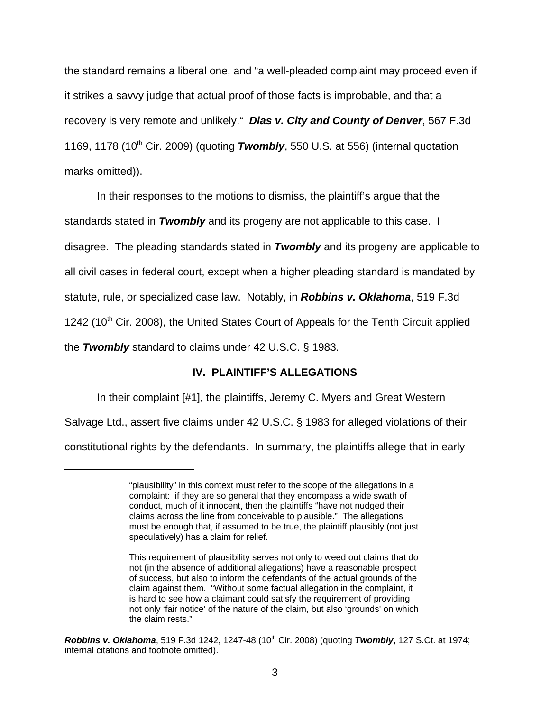the standard remains a liberal one, and "a well-pleaded complaint may proceed even if it strikes a savvy judge that actual proof of those facts is improbable, and that a recovery is very remote and unlikely." **Dias v. City and County of Denver**, 567 F.3d 1169, 1178 (10<sup>th</sup> Cir. 2009) (quoting **Twombly**, 550 U.S. at 556) (internal quotation marks omitted)).

In their responses to the motions to dismiss, the plaintiff's argue that the standards stated in **Twombly** and its progeny are not applicable to this case. I disagree. The pleading standards stated in **Twombly** and its progeny are applicable to all civil cases in federal court, except when a higher pleading standard is mandated by statute, rule, or specialized case law. Notably, in **Robbins v. Oklahoma**, 519 F.3d 1242 (10<sup>th</sup> Cir. 2008), the United States Court of Appeals for the Tenth Circuit applied the **Twombly** standard to claims under 42 U.S.C. § 1983.

## **IV. PLAINTIFF'S ALLEGATIONS**

In their complaint [#1], the plaintiffs, Jeremy C. Myers and Great Western Salvage Ltd., assert five claims under 42 U.S.C. § 1983 for alleged violations of their constitutional rights by the defendants. In summary, the plaintiffs allege that in early

<sup>&</sup>quot;plausibility" in this context must refer to the scope of the allegations in a complaint: if they are so general that they encompass a wide swath of conduct, much of it innocent, then the plaintiffs "have not nudged their claims across the line from conceivable to plausible." The allegations must be enough that, if assumed to be true, the plaintiff plausibly (not just speculatively) has a claim for relief.

This requirement of plausibility serves not only to weed out claims that do not (in the absence of additional allegations) have a reasonable prospect of success, but also to inform the defendants of the actual grounds of the claim against them. "Without some factual allegation in the complaint, it is hard to see how a claimant could satisfy the requirement of providing not only 'fair notice' of the nature of the claim, but also 'grounds' on which the claim rests."

**Robbins v. Oklahoma**, 519 F.3d 1242, 1247-48 (10<sup>th</sup> Cir. 2008) (quoting **Twombly**, 127 S.Ct. at 1974; internal citations and footnote omitted).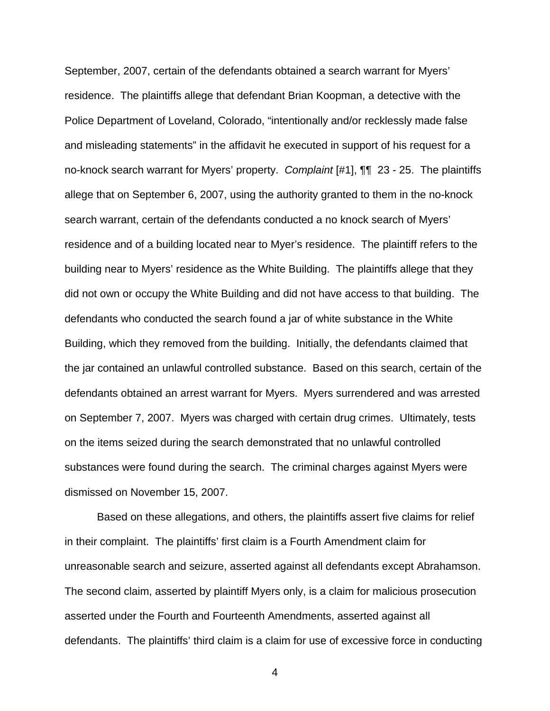September, 2007, certain of the defendants obtained a search warrant for Myers' residence. The plaintiffs allege that defendant Brian Koopman, a detective with the Police Department of Loveland, Colorado, "intentionally and/or recklessly made false and misleading statements" in the affidavit he executed in support of his request for a no-knock search warrant for Myers' property. Complaint [#1],  $\P\P$  23 - 25. The plaintiffs allege that on September 6, 2007, using the authority granted to them in the no-knock search warrant, certain of the defendants conducted a no knock search of Myers' residence and of a building located near to Myer's residence. The plaintiff refers to the building near to Myers' residence as the White Building. The plaintiffs allege that they did not own or occupy the White Building and did not have access to that building. The defendants who conducted the search found a jar of white substance in the White Building, which they removed from the building. Initially, the defendants claimed that the jar contained an unlawful controlled substance. Based on this search, certain of the defendants obtained an arrest warrant for Myers. Myers surrendered and was arrested on September 7, 2007. Myers was charged with certain drug crimes. Ultimately, tests on the items seized during the search demonstrated that no unlawful controlled substances were found during the search. The criminal charges against Myers were dismissed on November 15, 2007.

Based on these allegations, and others, the plaintiffs assert five claims for relief in their complaint. The plaintiffs' first claim is a Fourth Amendment claim for unreasonable search and seizure, asserted against all defendants except Abrahamson. The second claim, asserted by plaintiff Myers only, is a claim for malicious prosecution asserted under the Fourth and Fourteenth Amendments, asserted against all defendants. The plaintiffs' third claim is a claim for use of excessive force in conducting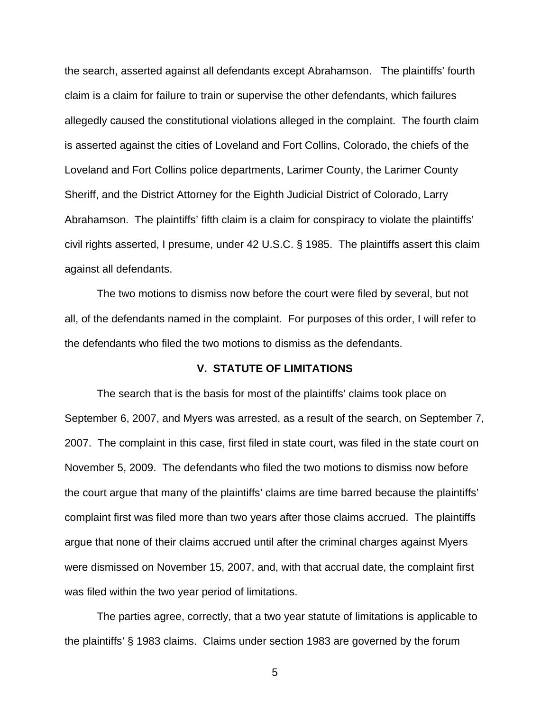the search, asserted against all defendants except Abrahamson. The plaintiffs' fourth claim is a claim for failure to train or supervise the other defendants, which failures allegedly caused the constitutional violations alleged in the complaint. The fourth claim is asserted against the cities of Loveland and Fort Collins, Colorado, the chiefs of the Loveland and Fort Collins police departments, Larimer County, the Larimer County Sheriff, and the District Attorney for the Eighth Judicial District of Colorado, Larry Abrahamson. The plaintiffs' fifth claim is a claim for conspiracy to violate the plaintiffs' civil rights asserted, I presume, under 42 U.S.C. § 1985. The plaintiffs assert this claim against all defendants.

The two motions to dismiss now before the court were filed by several, but not all, of the defendants named in the complaint. For purposes of this order, I will refer to the defendants who filed the two motions to dismiss as the defendants.

## **V. STATUTE OF LIMITATIONS**

The search that is the basis for most of the plaintiffs' claims took place on September 6, 2007, and Myers was arrested, as a result of the search, on September 7, 2007. The complaint in this case, first filed in state court, was filed in the state court on November 5, 2009. The defendants who filed the two motions to dismiss now before the court argue that many of the plaintiffs' claims are time barred because the plaintiffs' complaint first was filed more than two years after those claims accrued. The plaintiffs argue that none of their claims accrued until after the criminal charges against Myers were dismissed on November 15, 2007, and, with that accrual date, the complaint first was filed within the two year period of limitations.

The parties agree, correctly, that a two year statute of limitations is applicable to the plaintiffs' § 1983 claims. Claims under section 1983 are governed by the forum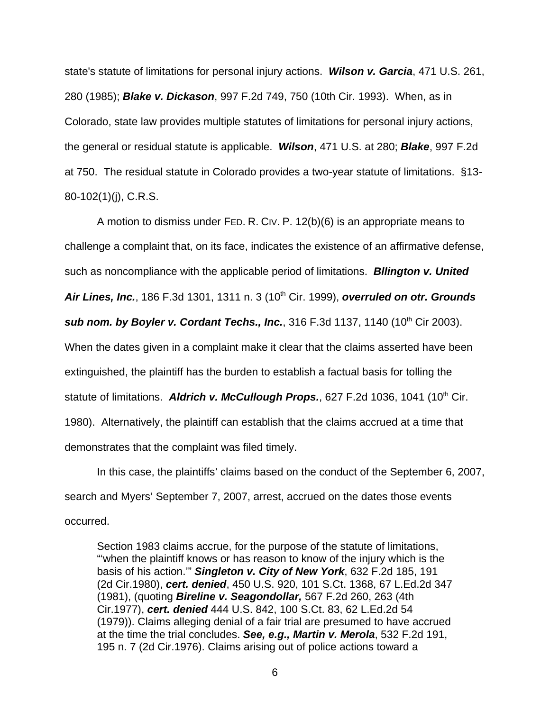state's statute of limitations for personal injury actions. **Wilson v. Garcia**, 471 U.S. 261, 280 (1985); **Blake v. Dickason**, 997 F.2d 749, 750 (10th Cir. 1993). When, as in Colorado, state law provides multiple statutes of limitations for personal injury actions, the general or residual statute is applicable. **Wilson**, 471 U.S. at 280; **Blake**, 997 F.2d at 750. The residual statute in Colorado provides a two-year statute of limitations. §13- 80-102(1)(j), C.R.S.

A motion to dismiss under FED. R. CIV. P. 12(b)(6) is an appropriate means to challenge a complaint that, on its face, indicates the existence of an affirmative defense, such as noncompliance with the applicable period of limitations. **Bllington v. United Air Lines, Inc.**, 186 F.3d 1301, 1311 n. 3 (10th Cir. 1999), **overruled on otr. Grounds sub nom. by Boyler v. Cordant Techs., Inc.**, 316 F.3d 1137, 1140 (10<sup>th</sup> Cir 2003). When the dates given in a complaint make it clear that the claims asserted have been extinguished, the plaintiff has the burden to establish a factual basis for tolling the statute of limitations. Aldrich v. McCullough Props., 627 F.2d 1036, 1041 (10<sup>th</sup> Cir. 1980). Alternatively, the plaintiff can establish that the claims accrued at a time that demonstrates that the complaint was filed timely.

In this case, the plaintiffs' claims based on the conduct of the September 6, 2007, search and Myers' September 7, 2007, arrest, accrued on the dates those events occurred.

Section 1983 claims accrue, for the purpose of the statute of limitations, "'when the plaintiff knows or has reason to know of the injury which is the basis of his action.'" **Singleton v. City of New York**, 632 F.2d 185, 191 (2d Cir.1980), **cert. denied**, 450 U.S. 920, 101 S.Ct. 1368, 67 L.Ed.2d 347 (1981), (quoting **Bireline v. Seagondollar,** 567 F.2d 260, 263 (4th Cir.1977), **cert. denied** 444 U.S. 842, 100 S.Ct. 83, 62 L.Ed.2d 54 (1979)). Claims alleging denial of a fair trial are presumed to have accrued at the time the trial concludes. **See, e.g., Martin v. Merola**, 532 F.2d 191, 195 n. 7 (2d Cir.1976). Claims arising out of police actions toward a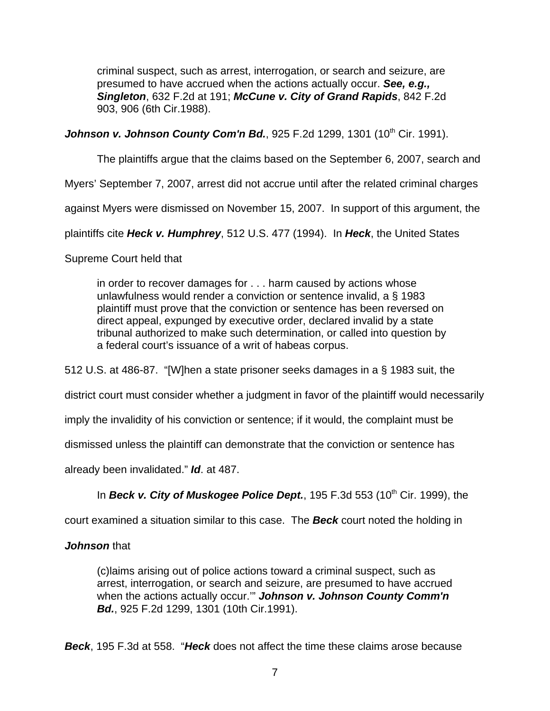criminal suspect, such as arrest, interrogation, or search and seizure, are presumed to have accrued when the actions actually occur. **See, e.g., Singleton**, 632 F.2d at 191; **McCune v. City of Grand Rapids**, 842 F.2d 903, 906 (6th Cir.1988).

**Johnson v. Johnson County Com'n Bd.**, 925 F.2d 1299, 1301 (10<sup>th</sup> Cir. 1991).

The plaintiffs argue that the claims based on the September 6, 2007, search and

Myers' September 7, 2007, arrest did not accrue until after the related criminal charges

against Myers were dismissed on November 15, 2007. In support of this argument, the

plaintiffs cite **Heck v. Humphrey**, 512 U.S. 477 (1994). In **Heck**, the United States

Supreme Court held that

in order to recover damages for . . . harm caused by actions whose unlawfulness would render a conviction or sentence invalid, a § 1983 plaintiff must prove that the conviction or sentence has been reversed on direct appeal, expunged by executive order, declared invalid by a state tribunal authorized to make such determination, or called into question by a federal court's issuance of a writ of habeas corpus.

512 U.S. at 486-87. "[W]hen a state prisoner seeks damages in a § 1983 suit, the

district court must consider whether a judgment in favor of the plaintiff would necessarily

imply the invalidity of his conviction or sentence; if it would, the complaint must be

dismissed unless the plaintiff can demonstrate that the conviction or sentence has

already been invalidated." **Id**. at 487.

In **Beck v. City of Muskogee Police Dept.**, 195 F.3d 553 (10<sup>th</sup> Cir. 1999), the

court examined a situation similar to this case. The **Beck** court noted the holding in

# **Johnson** that

(c)laims arising out of police actions toward a criminal suspect, such as arrest, interrogation, or search and seizure, are presumed to have accrued when the actions actually occur.'" **Johnson v. Johnson County Comm'n Bd.**, 925 F.2d 1299, 1301 (10th Cir.1991).

**Beck**, 195 F.3d at 558. "**Heck** does not affect the time these claims arose because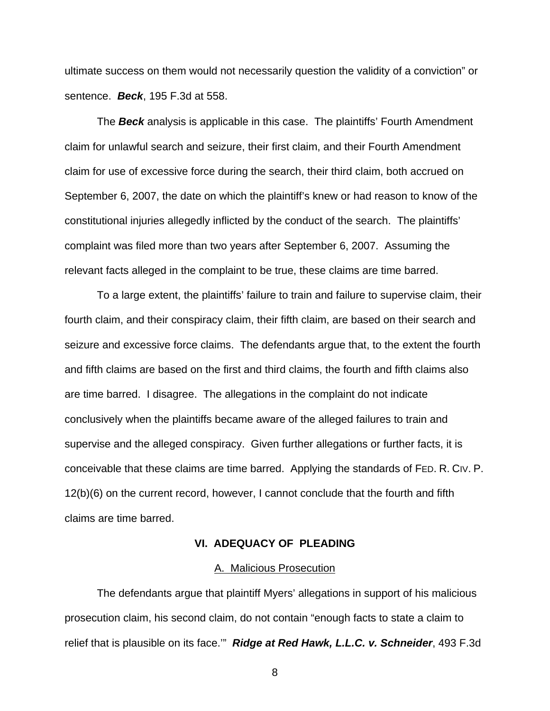ultimate success on them would not necessarily question the validity of a conviction" or sentence. **Beck**, 195 F.3d at 558.

The **Beck** analysis is applicable in this case. The plaintiffs' Fourth Amendment claim for unlawful search and seizure, their first claim, and their Fourth Amendment claim for use of excessive force during the search, their third claim, both accrued on September 6, 2007, the date on which the plaintiff's knew or had reason to know of the constitutional injuries allegedly inflicted by the conduct of the search. The plaintiffs' complaint was filed more than two years after September 6, 2007. Assuming the relevant facts alleged in the complaint to be true, these claims are time barred.

To a large extent, the plaintiffs' failure to train and failure to supervise claim, their fourth claim, and their conspiracy claim, their fifth claim, are based on their search and seizure and excessive force claims. The defendants argue that, to the extent the fourth and fifth claims are based on the first and third claims, the fourth and fifth claims also are time barred. I disagree. The allegations in the complaint do not indicate conclusively when the plaintiffs became aware of the alleged failures to train and supervise and the alleged conspiracy. Given further allegations or further facts, it is conceivable that these claims are time barred. Applying the standards of FED. R. CIV. P. 12(b)(6) on the current record, however, I cannot conclude that the fourth and fifth claims are time barred.

## **VI. ADEQUACY OF PLEADING**

#### A. Malicious Prosecution

The defendants argue that plaintiff Myers' allegations in support of his malicious prosecution claim, his second claim, do not contain "enough facts to state a claim to relief that is plausible on its face.'" **Ridge at Red Hawk, L.L.C. v. Schneider**, 493 F.3d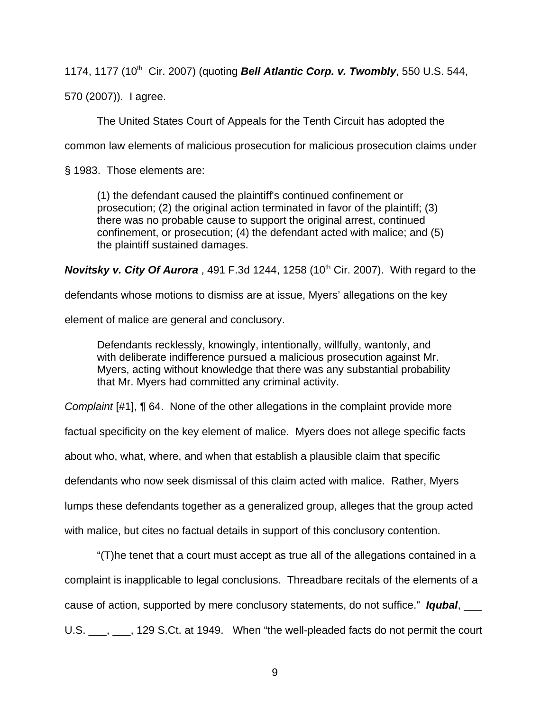1174, 1177 (10<sup>th</sup> Cir. 2007) (quoting **Bell Atlantic Corp. v. Twombly**, 550 U.S. 544,

570 (2007)). I agree.

The United States Court of Appeals for the Tenth Circuit has adopted the

common law elements of malicious prosecution for malicious prosecution claims under

§ 1983. Those elements are:

(1) the defendant caused the plaintiff's continued confinement or prosecution; (2) the original action terminated in favor of the plaintiff; (3) there was no probable cause to support the original arrest, continued confinement, or prosecution; (4) the defendant acted with malice; and (5) the plaintiff sustained damages.

**Novitsky v. City Of Aurora**, 491 F.3d 1244, 1258 (10<sup>th</sup> Cir. 2007). With regard to the

defendants whose motions to dismiss are at issue, Myers' allegations on the key

element of malice are general and conclusory.

Defendants recklessly, knowingly, intentionally, willfully, wantonly, and with deliberate indifference pursued a malicious prosecution against Mr. Myers, acting without knowledge that there was any substantial probability that Mr. Myers had committed any criminal activity.

Complaint [#1], ¶ 64. None of the other allegations in the complaint provide more

factual specificity on the key element of malice. Myers does not allege specific facts

about who, what, where, and when that establish a plausible claim that specific

defendants who now seek dismissal of this claim acted with malice. Rather, Myers

lumps these defendants together as a generalized group, alleges that the group acted

with malice, but cites no factual details in support of this conclusory contention.

"(T)he tenet that a court must accept as true all of the allegations contained in a complaint is inapplicable to legal conclusions. Threadbare recitals of the elements of a cause of action, supported by mere conclusory statements, do not suffice." **Iqubal**, \_\_\_ U.S. \_\_\_, \_\_\_, 129 S.Ct. at 1949. When "the well-pleaded facts do not permit the court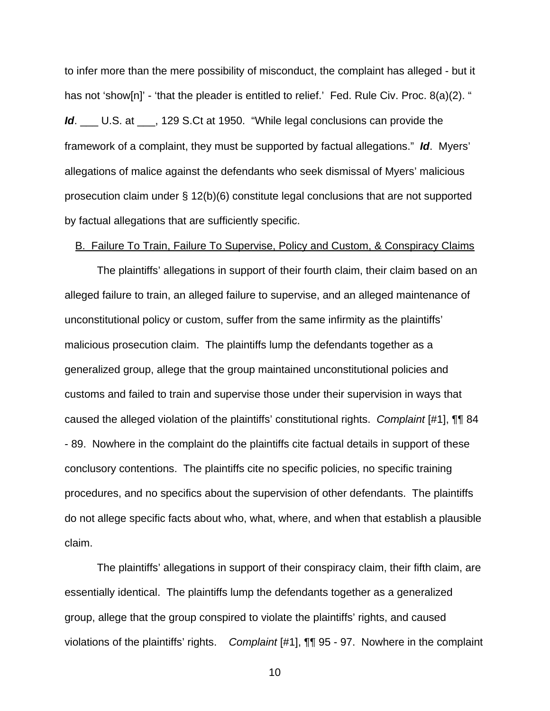to infer more than the mere possibility of misconduct, the complaint has alleged - but it has not 'show[n]' - 'that the pleader is entitled to relief.' Fed. Rule Civ. Proc. 8(a)(2). " **Id**. \_\_\_ U.S. at \_\_\_, 129 S.Ct at 1950. "While legal conclusions can provide the framework of a complaint, they must be supported by factual allegations." **Id**. Myers' allegations of malice against the defendants who seek dismissal of Myers' malicious prosecution claim under § 12(b)(6) constitute legal conclusions that are not supported by factual allegations that are sufficiently specific.

### B. Failure To Train, Failure To Supervise, Policy and Custom, & Conspiracy Claims

The plaintiffs' allegations in support of their fourth claim, their claim based on an alleged failure to train, an alleged failure to supervise, and an alleged maintenance of unconstitutional policy or custom, suffer from the same infirmity as the plaintiffs' malicious prosecution claim. The plaintiffs lump the defendants together as a generalized group, allege that the group maintained unconstitutional policies and customs and failed to train and supervise those under their supervision in ways that caused the alleged violation of the plaintiffs' constitutional rights. Complaint [#1], ¶¶ 84 - 89. Nowhere in the complaint do the plaintiffs cite factual details in support of these conclusory contentions. The plaintiffs cite no specific policies, no specific training procedures, and no specifics about the supervision of other defendants. The plaintiffs do not allege specific facts about who, what, where, and when that establish a plausible claim.

The plaintiffs' allegations in support of their conspiracy claim, their fifth claim, are essentially identical. The plaintiffs lump the defendants together as a generalized group, allege that the group conspired to violate the plaintiffs' rights, and caused violations of the plaintiffs' rights. Complaint [#1], ¶¶ 95 - 97. Nowhere in the complaint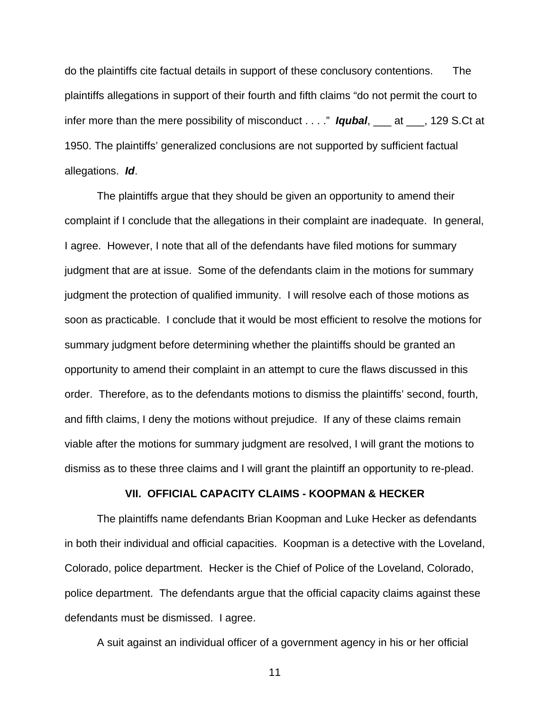do the plaintiffs cite factual details in support of these conclusory contentions. The plaintiffs allegations in support of their fourth and fifth claims "do not permit the court to infer more than the mere possibility of misconduct . . . ." **Iqubal**, \_\_\_ at \_\_\_, 129 S.Ct at 1950. The plaintiffs' generalized conclusions are not supported by sufficient factual allegations. **Id**.

The plaintiffs argue that they should be given an opportunity to amend their complaint if I conclude that the allegations in their complaint are inadequate. In general, I agree. However, I note that all of the defendants have filed motions for summary judgment that are at issue. Some of the defendants claim in the motions for summary judgment the protection of qualified immunity. I will resolve each of those motions as soon as practicable. I conclude that it would be most efficient to resolve the motions for summary judgment before determining whether the plaintiffs should be granted an opportunity to amend their complaint in an attempt to cure the flaws discussed in this order. Therefore, as to the defendants motions to dismiss the plaintiffs' second, fourth, and fifth claims, I deny the motions without prejudice. If any of these claims remain viable after the motions for summary judgment are resolved, I will grant the motions to dismiss as to these three claims and I will grant the plaintiff an opportunity to re-plead.

## **VII. OFFICIAL CAPACITY CLAIMS - KOOPMAN & HECKER**

The plaintiffs name defendants Brian Koopman and Luke Hecker as defendants in both their individual and official capacities. Koopman is a detective with the Loveland, Colorado, police department. Hecker is the Chief of Police of the Loveland, Colorado, police department. The defendants argue that the official capacity claims against these defendants must be dismissed. I agree.

A suit against an individual officer of a government agency in his or her official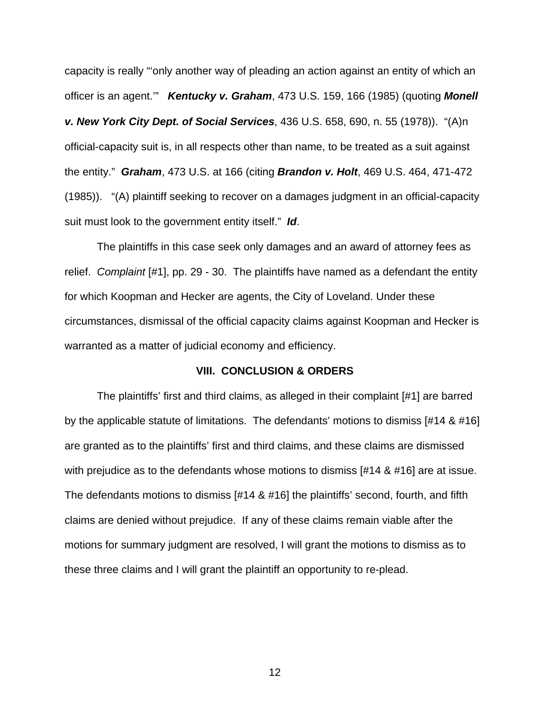capacity is really "'only another way of pleading an action against an entity of which an officer is an agent.'" **Kentucky v. Graham**, 473 U.S. 159, 166 (1985) (quoting **Monell v. New York City Dept. of Social Services**, 436 U.S. 658, 690, n. 55 (1978)). "(A)n official-capacity suit is, in all respects other than name, to be treated as a suit against the entity." **Graham**, 473 U.S. at 166 (citing **Brandon v. Holt**, 469 U.S. 464, 471-472 (1985)). "(A) plaintiff seeking to recover on a damages judgment in an official-capacity suit must look to the government entity itself." **Id**.

The plaintiffs in this case seek only damages and an award of attorney fees as relief. Complaint [#1], pp. 29 - 30. The plaintiffs have named as a defendant the entity for which Koopman and Hecker are agents, the City of Loveland. Under these circumstances, dismissal of the official capacity claims against Koopman and Hecker is warranted as a matter of judicial economy and efficiency.

## **VIII. CONCLUSION & ORDERS**

The plaintiffs' first and third claims, as alleged in their complaint [#1] are barred by the applicable statute of limitations. The defendants' motions to dismiss [#14 & #16] are granted as to the plaintiffs' first and third claims, and these claims are dismissed with prejudice as to the defendants whose motions to dismiss [#14 & #16] are at issue. The defendants motions to dismiss [#14 & #16] the plaintiffs' second, fourth, and fifth claims are denied without prejudice. If any of these claims remain viable after the motions for summary judgment are resolved, I will grant the motions to dismiss as to these three claims and I will grant the plaintiff an opportunity to re-plead.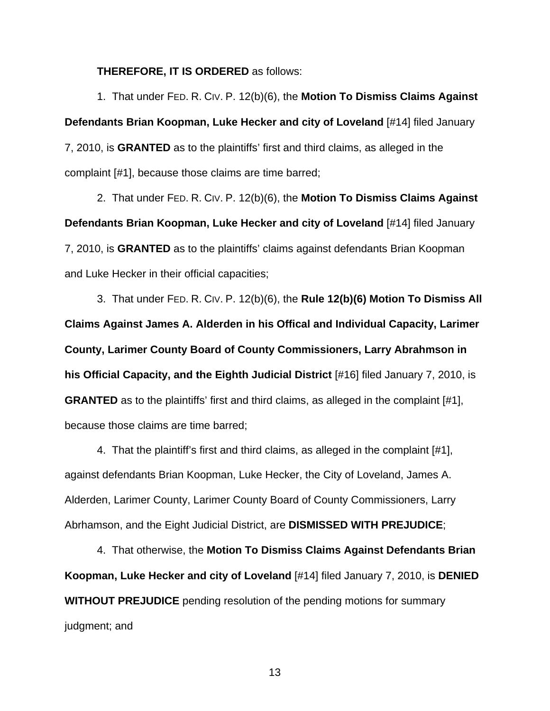**THEREFORE, IT IS ORDERED** as follows:

1. That under FED. R. CIV. P. 12(b)(6), the **Motion To Dismiss Claims Against Defendants Brian Koopman, Luke Hecker and city of Loveland** [#14] filed January 7, 2010, is **GRANTED** as to the plaintiffs' first and third claims, as alleged in the complaint [#1], because those claims are time barred;

2. That under FED. R. CIV. P. 12(b)(6), the **Motion To Dismiss Claims Against Defendants Brian Koopman, Luke Hecker and city of Loveland** [#14] filed January 7, 2010, is **GRANTED** as to the plaintiffs' claims against defendants Brian Koopman and Luke Hecker in their official capacities;

3. That under FED. R. CIV. P. 12(b)(6), the **Rule 12(b)(6) Motion To Dismiss All Claims Against James A. Alderden in his Offical and Individual Capacity, Larimer County, Larimer County Board of County Commissioners, Larry Abrahmson in his Official Capacity, and the Eighth Judicial District** [#16] filed January 7, 2010, is **GRANTED** as to the plaintiffs' first and third claims, as alleged in the complaint [#1], because those claims are time barred;

4. That the plaintiff's first and third claims, as alleged in the complaint [#1], against defendants Brian Koopman, Luke Hecker, the City of Loveland, James A. Alderden, Larimer County, Larimer County Board of County Commissioners, Larry Abrhamson, and the Eight Judicial District, are **DISMISSED WITH PREJUDICE**;

4. That otherwise, the **Motion To Dismiss Claims Against Defendants Brian Koopman, Luke Hecker and city of Loveland** [#14] filed January 7, 2010, is **DENIED WITHOUT PREJUDICE** pending resolution of the pending motions for summary judgment; and